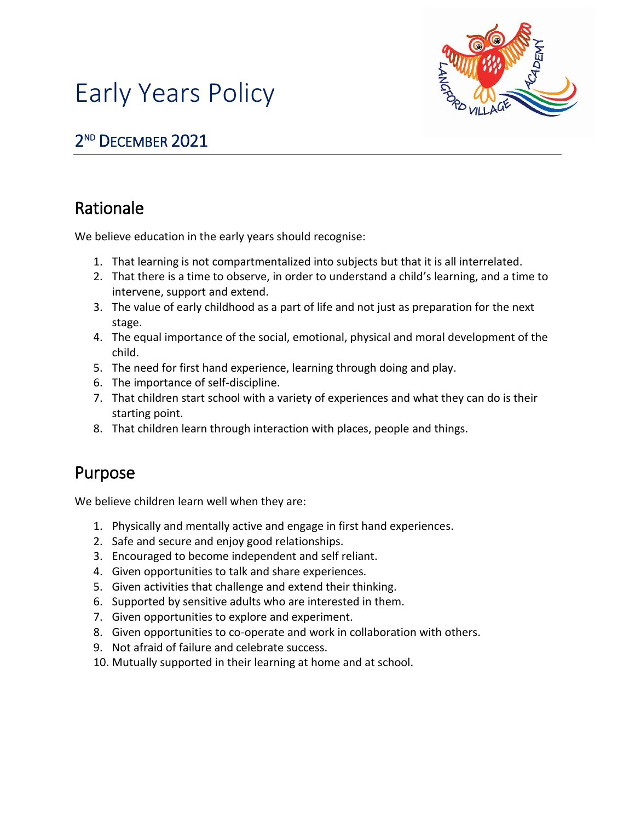

# Early Years Policy

# 2 ND DECEMBER 2021

## Rationale

We believe education in the early years should recognise:

- 1. That learning is not compartmentalized into subjects but that it is all interrelated.
- 2. That there is a time to observe, in order to understand a child's learning, and a time to intervene, support and extend.
- 3. The value of early childhood as a part of life and not just as preparation for the next stage.
- 4. The equal importance of the social, emotional, physical and moral development of the child.
- 5. The need for first hand experience, learning through doing and play.
- 6. The importance of self-discipline.
- 7. That children start school with a variety of experiences and what they can do is their starting point.
- 8. That children learn through interaction with places, people and things.

### Purpose

We believe children learn well when they are:

- 1. Physically and mentally active and engage in first hand experiences.
- 2. Safe and secure and enjoy good relationships.
- 3. Encouraged to become independent and self reliant.
- 4. Given opportunities to talk and share experiences.
- 5. Given activities that challenge and extend their thinking.
- 6. Supported by sensitive adults who are interested in them.
- 7. Given opportunities to explore and experiment.
- 8. Given opportunities to co-operate and work in collaboration with others.
- 9. Not afraid of failure and celebrate success.
- 10. Mutually supported in their learning at home and at school.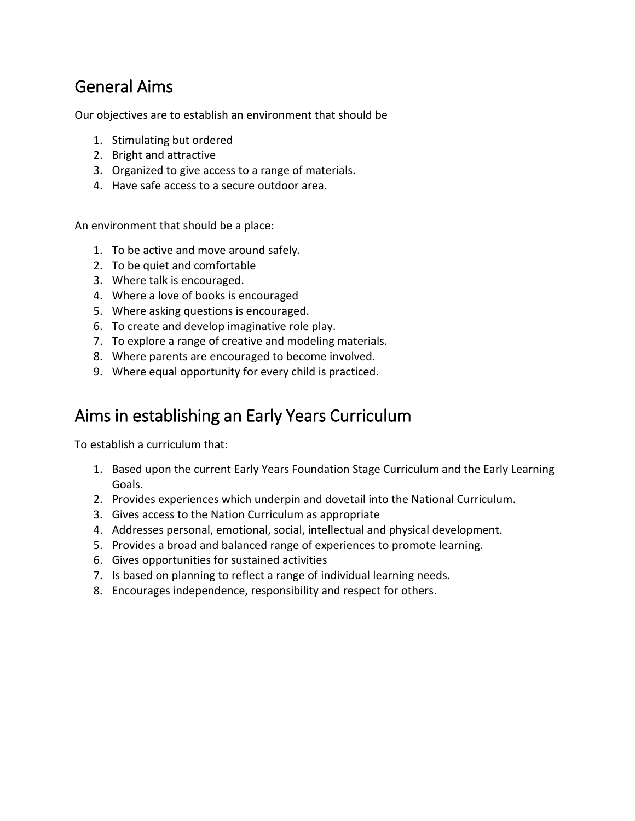### General Aims

Our objectives are to establish an environment that should be

- 1. Stimulating but ordered
- 2. Bright and attractive
- 3. Organized to give access to a range of materials.
- 4. Have safe access to a secure outdoor area.

An environment that should be a place:

- 1. To be active and move around safely.
- 2. To be quiet and comfortable
- 3. Where talk is encouraged.
- 4. Where a love of books is encouraged
- 5. Where asking questions is encouraged.
- 6. To create and develop imaginative role play.
- 7. To explore a range of creative and modeling materials.
- 8. Where parents are encouraged to become involved.
- 9. Where equal opportunity for every child is practiced.

### Aims in establishing an Early Years Curriculum

To establish a curriculum that:

- 1. Based upon the current Early Years Foundation Stage Curriculum and the Early Learning Goals.
- 2. Provides experiences which underpin and dovetail into the National Curriculum.
- 3. Gives access to the Nation Curriculum as appropriate
- 4. Addresses personal, emotional, social, intellectual and physical development.
- 5. Provides a broad and balanced range of experiences to promote learning.
- 6. Gives opportunities for sustained activities
- 7. Is based on planning to reflect a range of individual learning needs.
- 8. Encourages independence, responsibility and respect for others.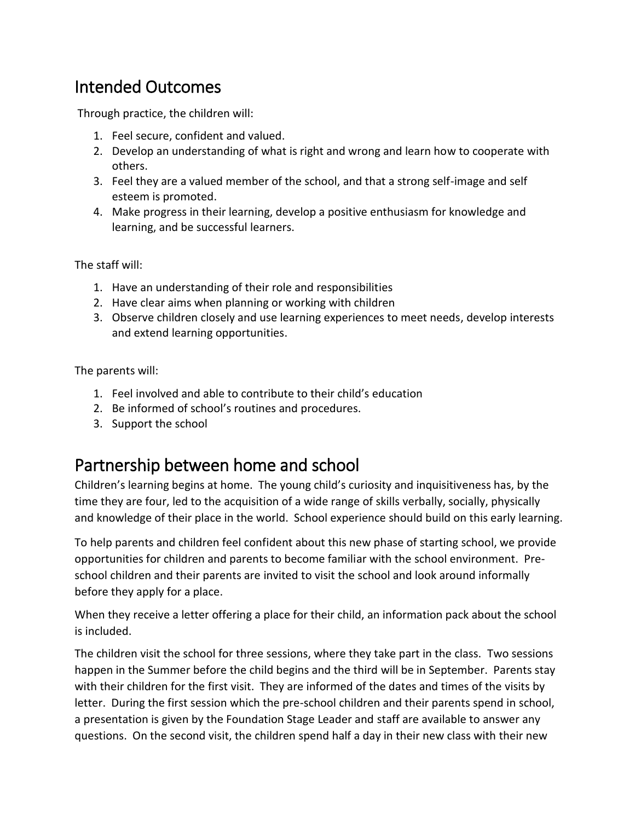### Intended Outcomes

Through practice, the children will:

- 1. Feel secure, confident and valued.
- 2. Develop an understanding of what is right and wrong and learn how to cooperate with others.
- 3. Feel they are a valued member of the school, and that a strong self-image and self esteem is promoted.
- 4. Make progress in their learning, develop a positive enthusiasm for knowledge and learning, and be successful learners.

The staff will:

- 1. Have an understanding of their role and responsibilities
- 2. Have clear aims when planning or working with children
- 3. Observe children closely and use learning experiences to meet needs, develop interests and extend learning opportunities.

The parents will:

- 1. Feel involved and able to contribute to their child's education
- 2. Be informed of school's routines and procedures.
- 3. Support the school

### Partnership between home and school

Children's learning begins at home. The young child's curiosity and inquisitiveness has, by the time they are four, led to the acquisition of a wide range of skills verbally, socially, physically and knowledge of their place in the world. School experience should build on this early learning.

To help parents and children feel confident about this new phase of starting school, we provide opportunities for children and parents to become familiar with the school environment. Preschool children and their parents are invited to visit the school and look around informally before they apply for a place.

When they receive a letter offering a place for their child, an information pack about the school is included.

The children visit the school for three sessions, where they take part in the class. Two sessions happen in the Summer before the child begins and the third will be in September. Parents stay with their children for the first visit. They are informed of the dates and times of the visits by letter. During the first session which the pre-school children and their parents spend in school, a presentation is given by the Foundation Stage Leader and staff are available to answer any questions. On the second visit, the children spend half a day in their new class with their new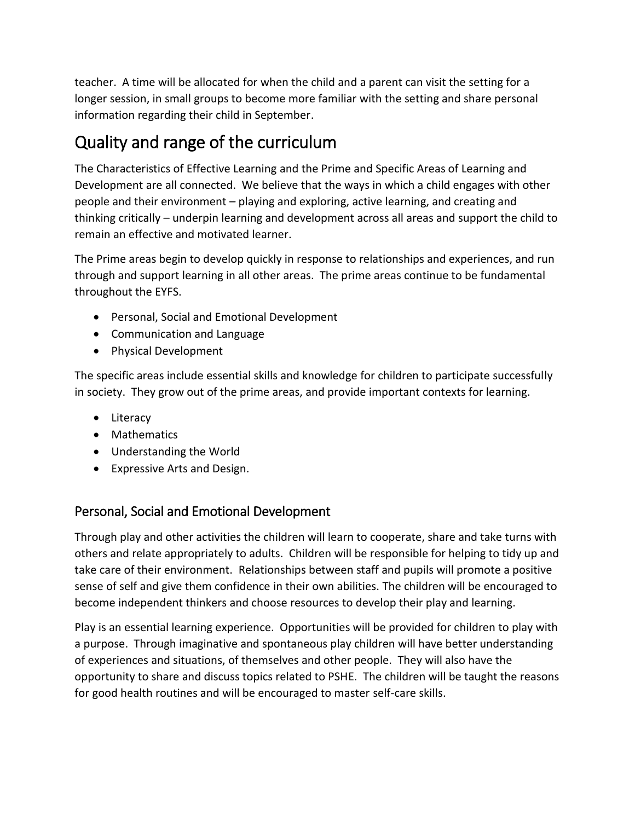teacher. A time will be allocated for when the child and a parent can visit the setting for a longer session, in small groups to become more familiar with the setting and share personal information regarding their child in September.

# Quality and range of the curriculum

The Characteristics of Effective Learning and the Prime and Specific Areas of Learning and Development are all connected. We believe that the ways in which a child engages with other people and their environment – playing and exploring, active learning, and creating and thinking critically – underpin learning and development across all areas and support the child to remain an effective and motivated learner.

The Prime areas begin to develop quickly in response to relationships and experiences, and run through and support learning in all other areas. The prime areas continue to be fundamental throughout the EYFS.

- Personal, Social and Emotional Development
- Communication and Language
- Physical Development

The specific areas include essential skills and knowledge for children to participate successfully in society. They grow out of the prime areas, and provide important contexts for learning.

- Literacy
- Mathematics
- Understanding the World
- Expressive Arts and Design.

#### Personal, Social and Emotional Development

Through play and other activities the children will learn to cooperate, share and take turns with others and relate appropriately to adults. Children will be responsible for helping to tidy up and take care of their environment. Relationships between staff and pupils will promote a positive sense of self and give them confidence in their own abilities. The children will be encouraged to become independent thinkers and choose resources to develop their play and learning.

Play is an essential learning experience. Opportunities will be provided for children to play with a purpose. Through imaginative and spontaneous play children will have better understanding of experiences and situations, of themselves and other people. They will also have the opportunity to share and discuss topics related to PSHE. The children will be taught the reasons for good health routines and will be encouraged to master self-care skills.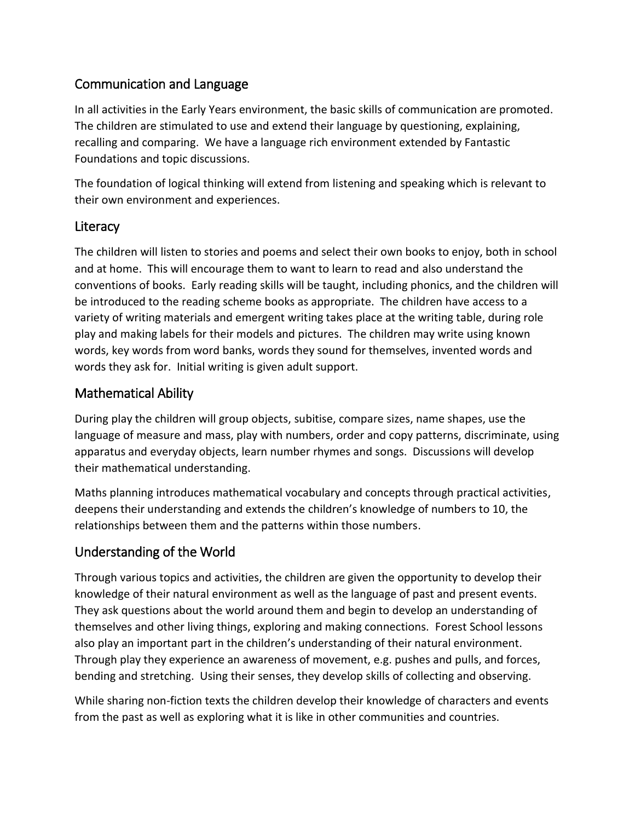#### Communication and Language

In all activities in the Early Years environment, the basic skills of communication are promoted. The children are stimulated to use and extend their language by questioning, explaining, recalling and comparing. We have a language rich environment extended by Fantastic Foundations and topic discussions.

The foundation of logical thinking will extend from listening and speaking which is relevant to their own environment and experiences.

#### **Literacy**

The children will listen to stories and poems and select their own books to enjoy, both in school and at home. This will encourage them to want to learn to read and also understand the conventions of books. Early reading skills will be taught, including phonics, and the children will be introduced to the reading scheme books as appropriate. The children have access to a variety of writing materials and emergent writing takes place at the writing table, during role play and making labels for their models and pictures. The children may write using known words, key words from word banks, words they sound for themselves, invented words and words they ask for. Initial writing is given adult support.

#### Mathematical Ability

During play the children will group objects, subitise, compare sizes, name shapes, use the language of measure and mass, play with numbers, order and copy patterns, discriminate, using apparatus and everyday objects, learn number rhymes and songs. Discussions will develop their mathematical understanding.

Maths planning introduces mathematical vocabulary and concepts through practical activities, deepens their understanding and extends the children's knowledge of numbers to 10, the relationships between them and the patterns within those numbers.

#### Understanding of the World

Through various topics and activities, the children are given the opportunity to develop their knowledge of their natural environment as well as the language of past and present events. They ask questions about the world around them and begin to develop an understanding of themselves and other living things, exploring and making connections. Forest School lessons also play an important part in the children's understanding of their natural environment. Through play they experience an awareness of movement, e.g. pushes and pulls, and forces, bending and stretching. Using their senses, they develop skills of collecting and observing.

While sharing non-fiction texts the children develop their knowledge of characters and events from the past as well as exploring what it is like in other communities and countries.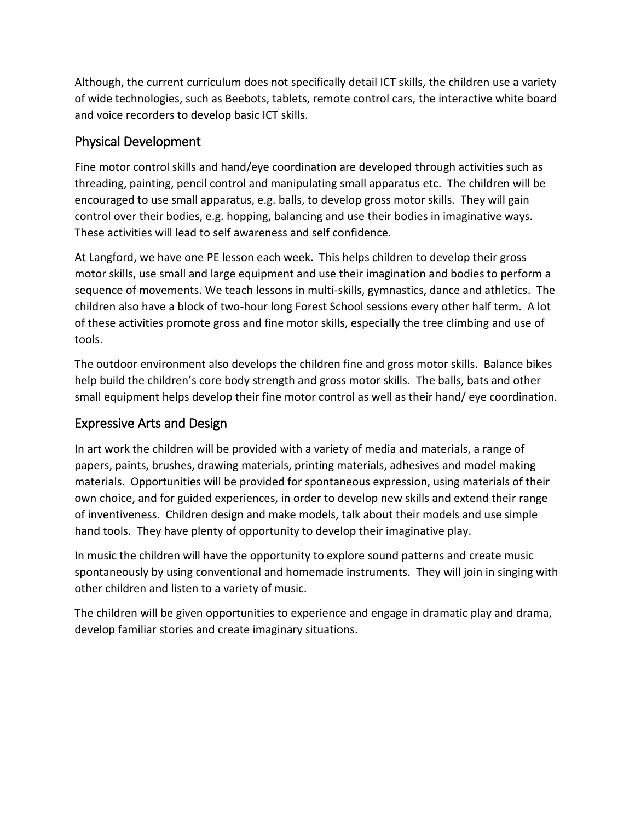Although, the current curriculum does not specifically detail ICT skills, the children use a variety of wide technologies, such as Beebots, tablets, remote control cars, the interactive white board and voice recorders to develop basic ICT skills.

#### Physical Development

Fine motor control skills and hand/eye coordination are developed through activities such as threading, painting, pencil control and manipulating small apparatus etc. The children will be encouraged to use small apparatus, e.g. balls, to develop gross motor skills. They will gain control over their bodies, e.g. hopping, balancing and use their bodies in imaginative ways. These activities will lead to self awareness and self confidence.

At Langford, we have one PE lesson each week. This helps children to develop their gross motor skills, use small and large equipment and use their imagination and bodies to perform a sequence of movements. We teach lessons in multi-skills, gymnastics, dance and athletics. The children also have a block of two-hour long Forest School sessions every other half term. A lot of these activities promote gross and fine motor skills, especially the tree climbing and use of tools.

The outdoor environment also develops the children fine and gross motor skills. Balance bikes help build the children's core body strength and gross motor skills. The balls, bats and other small equipment helps develop their fine motor control as well as their hand/ eye coordination.

#### Expressive Arts and Design

In art work the children will be provided with a variety of media and materials, a range of papers, paints, brushes, drawing materials, printing materials, adhesives and model making materials. Opportunities will be provided for spontaneous expression, using materials of their own choice, and for guided experiences, in order to develop new skills and extend their range of inventiveness. Children design and make models, talk about their models and use simple hand tools. They have plenty of opportunity to develop their imaginative play.

In music the children will have the opportunity to explore sound patterns and create music spontaneously by using conventional and homemade instruments. They will join in singing with other children and listen to a variety of music.

The children will be given opportunities to experience and engage in dramatic play and drama, develop familiar stories and create imaginary situations.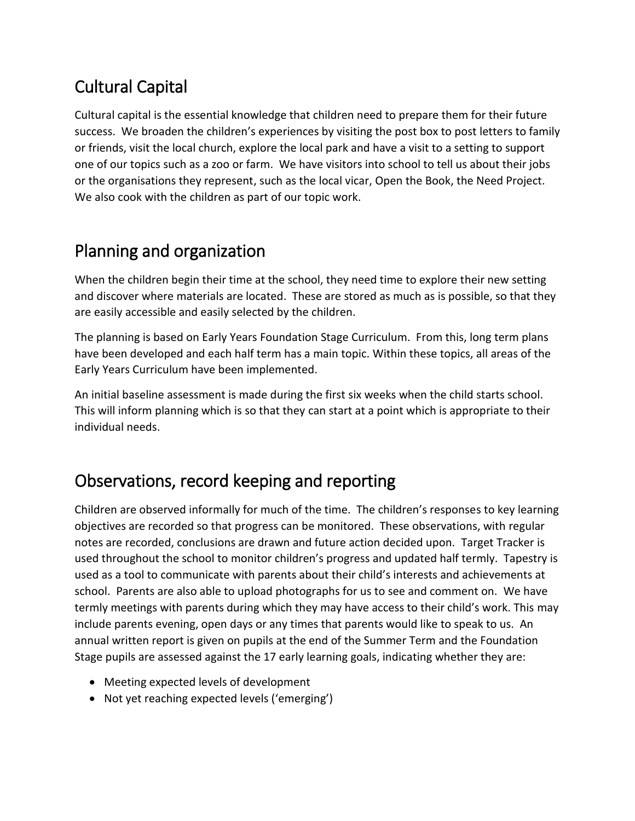# Cultural Capital

Cultural capital is the essential knowledge that children need to prepare them for their future success. We broaden the children's experiences by visiting the post box to post letters to family or friends, visit the local church, explore the local park and have a visit to a setting to support one of our topics such as a zoo or farm. We have visitors into school to tell us about their jobs or the organisations they represent, such as the local vicar, Open the Book, the Need Project. We also cook with the children as part of our topic work.

## Planning and organization

When the children begin their time at the school, they need time to explore their new setting and discover where materials are located. These are stored as much as is possible, so that they are easily accessible and easily selected by the children.

The planning is based on Early Years Foundation Stage Curriculum. From this, long term plans have been developed and each half term has a main topic. Within these topics, all areas of the Early Years Curriculum have been implemented.

An initial baseline assessment is made during the first six weeks when the child starts school. This will inform planning which is so that they can start at a point which is appropriate to their individual needs.

# Observations, record keeping and reporting

Children are observed informally for much of the time. The children's responses to key learning objectives are recorded so that progress can be monitored. These observations, with regular notes are recorded, conclusions are drawn and future action decided upon. Target Tracker is used throughout the school to monitor children's progress and updated half termly. Tapestry is used as a tool to communicate with parents about their child's interests and achievements at school. Parents are also able to upload photographs for us to see and comment on. We have termly meetings with parents during which they may have access to their child's work. This may include parents evening, open days or any times that parents would like to speak to us. An annual written report is given on pupils at the end of the Summer Term and the Foundation Stage pupils are assessed against the 17 early learning goals, indicating whether they are:

- Meeting expected levels of development
- Not yet reaching expected levels ('emerging')